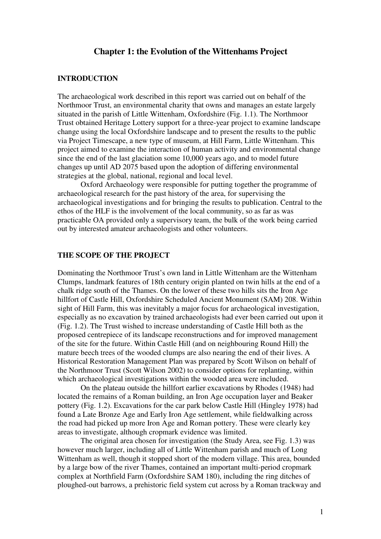## **Chapter 1: the Evolution of the Wittenhams Project**

### **INTRODUCTION**

The archaeological work described in this report was carried out on behalf of the Northmoor Trust, an environmental charity that owns and manages an estate largely situated in the parish of Little Wittenham, Oxfordshire (Fig. 1.1). The Northmoor Trust obtained Heritage Lottery support for a three-year project to examine landscape change using the local Oxfordshire landscape and to present the results to the public via Project Timescape, a new type of museum, at Hill Farm, Little Wittenham. This project aimed to examine the interaction of human activity and environmental change since the end of the last glaciation some 10,000 years ago, and to model future changes up until AD 2075 based upon the adoption of differing environmental strategies at the global, national, regional and local level.

 Oxford Archaeology were responsible for putting together the programme of archaeological research for the past history of the area, for supervising the archaeological investigations and for bringing the results to publication. Central to the ethos of the HLF is the involvement of the local community, so as far as was practicable OA provided only a supervisory team, the bulk of the work being carried out by interested amateur archaeologists and other volunteers.

### **THE SCOPE OF THE PROJECT**

Dominating the Northmoor Trust's own land in Little Wittenham are the Wittenham Clumps, landmark features of 18th century origin planted on twin hills at the end of a chalk ridge south of the Thames. On the lower of these two hills sits the Iron Age hillfort of Castle Hill, Oxfordshire Scheduled Ancient Monument (SAM) 208. Within sight of Hill Farm, this was inevitably a major focus for archaeological investigation, especially as no excavation by trained archaeologists had ever been carried out upon it (Fig. 1.2). The Trust wished to increase understanding of Castle Hill both as the proposed centrepiece of its landscape reconstructions and for improved management of the site for the future. Within Castle Hill (and on neighbouring Round Hill) the mature beech trees of the wooded clumps are also nearing the end of their lives. A Historical Restoration Management Plan was prepared by Scott Wilson on behalf of the Northmoor Trust (Scott Wilson 2002) to consider options for replanting, within which archaeological investigations within the wooded area were included.

 On the plateau outside the hillfort earlier excavations by Rhodes (1948) had located the remains of a Roman building, an Iron Age occupation layer and Beaker pottery (Fig. 1.2). Excavations for the car park below Castle Hill (Hingley 1978) had found a Late Bronze Age and Early Iron Age settlement, while fieldwalking across the road had picked up more Iron Age and Roman pottery. These were clearly key areas to investigate, although cropmark evidence was limited.

 The original area chosen for investigation (the Study Area, see Fig. 1.3) was however much larger, including all of Little Wittenham parish and much of Long Wittenham as well, though it stopped short of the modern village. This area, bounded by a large bow of the river Thames, contained an important multi-period cropmark complex at Northfield Farm (Oxfordshire SAM 180), including the ring ditches of ploughed-out barrows, a prehistoric field system cut across by a Roman trackway and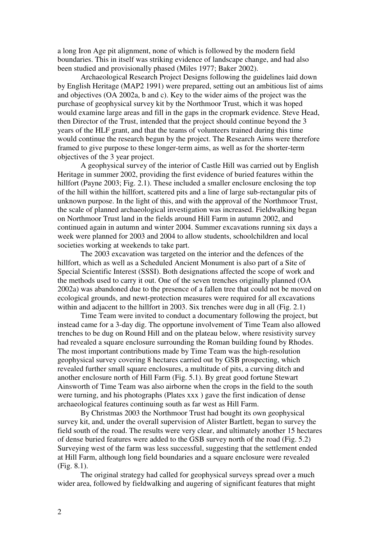a long Iron Age pit alignment, none of which is followed by the modern field boundaries. This in itself was striking evidence of landscape change, and had also been studied and provisionally phased (Miles 1977; Baker 2002).

 Archaeological Research Project Designs following the guidelines laid down by English Heritage (MAP2 1991) were prepared, setting out an ambitious list of aims and objectives (OA 2002a, b and c). Key to the wider aims of the project was the purchase of geophysical survey kit by the Northmoor Trust, which it was hoped would examine large areas and fill in the gaps in the cropmark evidence. Steve Head, then Director of the Trust, intended that the project should continue beyond the 3 years of the HLF grant, and that the teams of volunteers trained during this time would continue the research begun by the project. The Research Aims were therefore framed to give purpose to these longer-term aims, as well as for the shorter-term objectives of the 3 year project.

 A geophysical survey of the interior of Castle Hill was carried out by English Heritage in summer 2002, providing the first evidence of buried features within the hillfort (Payne 2003; Fig. 2.1). These included a smaller enclosure enclosing the top of the hill within the hillfort, scattered pits and a line of large sub-rectangular pits of unknown purpose. In the light of this, and with the approval of the Northmoor Trust, the scale of planned archaeological investigation was increased. Fieldwalking began on Northmoor Trust land in the fields around Hill Farm in autumn 2002, and continued again in autumn and winter 2004. Summer excavations running six days a week were planned for 2003 and 2004 to allow students, schoolchildren and local societies working at weekends to take part.

 The 2003 excavation was targeted on the interior and the defences of the hillfort, which as well as a Scheduled Ancient Monument is also part of a Site of Special Scientific Interest (SSSI). Both designations affected the scope of work and the methods used to carry it out. One of the seven trenches originally planned (OA 2002a) was abandoned due to the presence of a fallen tree that could not be moved on ecological grounds, and newt-protection measures were required for all excavations within and adjacent to the hillfort in 2003. Six trenches were dug in all (Fig. 2.1)

 Time Team were invited to conduct a documentary following the project, but instead came for a 3-day dig. The opportune involvement of Time Team also allowed trenches to be dug on Round Hill and on the plateau below, where resistivity survey had revealed a square enclosure surrounding the Roman building found by Rhodes. The most important contributions made by Time Team was the high-resolution geophysical survey covering 8 hectares carried out by GSB prospecting, which revealed further small square enclosures, a multitude of pits, a curving ditch and another enclosure north of Hill Farm (Fig. 5.1). By great good fortune Stewart Ainsworth of Time Team was also airborne when the crops in the field to the south were turning, and his photographs (Plates xxx ) gave the first indication of dense archaeological features continuing south as far west as Hill Farm.

 By Christmas 2003 the Northmoor Trust had bought its own geophysical survey kit, and, under the overall supervision of Alister Bartlett, began to survey the field south of the road. The results were very clear, and ultimately another 15 hectares of dense buried features were added to the GSB survey north of the road (Fig. 5.2) Surveying west of the farm was less successful, suggesting that the settlement ended at Hill Farm, although long field boundaries and a square enclosure were revealed (Fig. 8.1).

 The original strategy had called for geophysical surveys spread over a much wider area, followed by fieldwalking and augering of significant features that might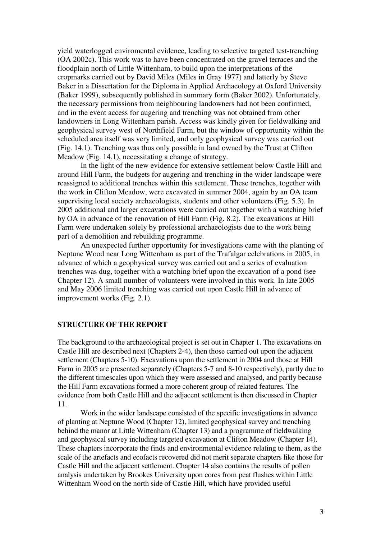yield waterlogged enviromental evidence, leading to selective targeted test-trenching (OA 2002c). This work was to have been concentrated on the gravel terraces and the floodplain north of Little Wittenham, to build upon the interpretations of the cropmarks carried out by David Miles (Miles in Gray 1977) and latterly by Steve Baker in a Dissertation for the Diploma in Applied Archaeology at Oxford University (Baker 1999), subsequently published in summary form (Baker 2002). Unfortunately, the necessary permissions from neighbouring landowners had not been confirmed, and in the event access for augering and trenching was not obtained from other landowners in Long Wittenham parish. Access was kindly given for fieldwalking and geophysical survey west of Northfield Farm, but the window of opportunity within the scheduled area itself was very limited, and only geophysical survey was carried out (Fig. 14.1). Trenching was thus only possible in land owned by the Trust at Clifton Meadow (Fig. 14.1), necessitating a change of strategy.

 In the light of the new evidence for extensive settlement below Castle Hill and around Hill Farm, the budgets for augering and trenching in the wider landscape were reassigned to additional trenches within this settlement. These trenches, together with the work in Clifton Meadow, were excavated in summer 2004, again by an OA team supervising local society archaeologists, students and other volunteers (Fig. 5.3). In 2005 additional and larger excavations were carried out together with a watching brief by OA in advance of the renovation of Hill Farm (Fig. 8.2). The excavations at Hill Farm were undertaken solely by professional archaeologists due to the work being part of a demolition and rebuilding programme.

 An unexpected further opportunity for investigations came with the planting of Neptune Wood near Long Wittenham as part of the Trafalgar celebrations in 2005, in advance of which a geophysical survey was carried out and a series of evaluation trenches was dug, together with a watching brief upon the excavation of a pond (see Chapter 12). A small number of volunteers were involved in this work. In late 2005 and May 2006 limited trenching was carried out upon Castle Hill in advance of improvement works (Fig. 2.1).

### **STRUCTURE OF THE REPORT**

The background to the archaeological project is set out in Chapter 1. The excavations on Castle Hill are described next (Chapters 2-4), then those carried out upon the adjacent settlement (Chapters 5-10). Excavations upon the settlement in 2004 and those at Hill Farm in 2005 are presented separately (Chapters 5-7 and 8-10 respectively), partly due to the different timescales upon which they were assessed and analysed, and partly because the Hill Farm excavations formed a more coherent group of related features. The evidence from both Castle Hill and the adjacent settlement is then discussed in Chapter 11.

 Work in the wider landscape consisted of the specific investigations in advance of planting at Neptune Wood (Chapter 12), limited geophysical survey and trenching behind the manor at Little Wittenham (Chapter 13) and a programme of fieldwalking and geophysical survey including targeted excavation at Clifton Meadow (Chapter 14). These chapters incorporate the finds and environmental evidence relating to them, as the scale of the artefacts and ecofacts recovered did not merit separate chapters like those for Castle Hill and the adjacent settlement. Chapter 14 also contains the results of pollen analysis undertaken by Brookes University upon cores from peat flushes within Little Wittenham Wood on the north side of Castle Hill, which have provided useful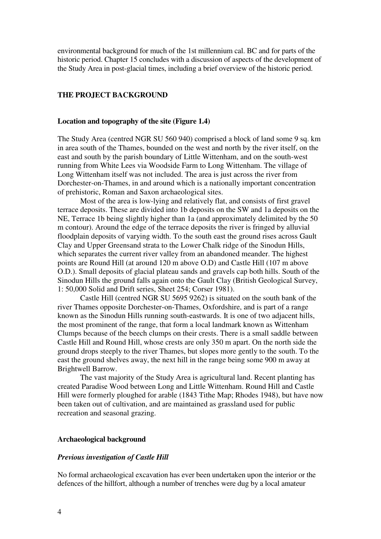environmental background for much of the 1st millennium cal. BC and for parts of the historic period. Chapter 15 concludes with a discussion of aspects of the development of the Study Area in post-glacial times, including a brief overview of the historic period.

### **THE PROJECT BACKGROUND**

### **Location and topography of the site (Figure 1.4)**

The Study Area (centred NGR SU 560 940) comprised a block of land some 9 sq. km in area south of the Thames, bounded on the west and north by the river itself, on the east and south by the parish boundary of Little Wittenham, and on the south-west running from White Lees via Woodside Farm to Long Wittenham. The village of Long Wittenham itself was not included. The area is just across the river from Dorchester-on-Thames, in and around which is a nationally important concentration of prehistoric, Roman and Saxon archaeological sites.

 Most of the area is low-lying and relatively flat, and consists of first gravel terrace deposits. These are divided into 1b deposits on the SW and 1a deposits on the NE, Terrace 1b being slightly higher than 1a (and approximately delimited by the 50 m contour). Around the edge of the terrace deposits the river is fringed by alluvial floodplain deposits of varying width. To the south east the ground rises across Gault Clay and Upper Greensand strata to the Lower Chalk ridge of the Sinodun Hills, which separates the current river valley from an abandoned meander. The highest points are Round Hill (at around 120 m above O.D) and Castle Hill (107 m above O.D.). Small deposits of glacial plateau sands and gravels cap both hills. South of the Sinodun Hills the ground falls again onto the Gault Clay (British Geological Survey, 1: 50,000 Solid and Drift series, Sheet 254; Corser 1981).

 Castle Hill (centred NGR SU 5695 9262) is situated on the south bank of the river Thames opposite Dorchester-on-Thames, Oxfordshire, and is part of a range known as the Sinodun Hills running south-eastwards. It is one of two adjacent hills, the most prominent of the range, that form a local landmark known as Wittenham Clumps because of the beech clumps on their crests. There is a small saddle between Castle Hill and Round Hill, whose crests are only 350 m apart. On the north side the ground drops steeply to the river Thames, but slopes more gently to the south. To the east the ground shelves away, the next hill in the range being some 900 m away at Brightwell Barrow.

 The vast majority of the Study Area is agricultural land. Recent planting has created Paradise Wood between Long and Little Wittenham. Round Hill and Castle Hill were formerly ploughed for arable (1843 Tithe Map; Rhodes 1948), but have now been taken out of cultivation, and are maintained as grassland used for public recreation and seasonal grazing.

## **Archaeological background**

#### *Previous investigation of Castle Hill*

No formal archaeological excavation has ever been undertaken upon the interior or the defences of the hillfort, although a number of trenches were dug by a local amateur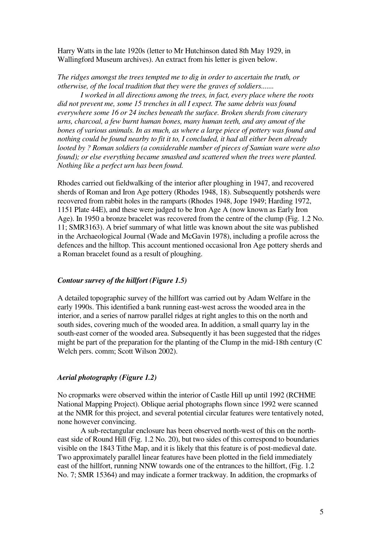Harry Watts in the late 1920s (letter to Mr Hutchinson dated 8th May 1929, in Wallingford Museum archives). An extract from his letter is given below.

*The ridges amongst the trees tempted me to dig in order to ascertain the truth, or otherwise, of the local tradition that they were the graves of soldiers.......* 

 *I worked in all directions among the trees, in fact, every place where the roots did not prevent me, some 15 trenches in all I expect. The same debris was found everywhere some 16 or 24 inches beneath the surface. Broken sherds from cinerary urns, charcoal, a few burnt human bones, many human teeth, and any amout of the bones of various animals. In as much, as where a large piece of pottery was found and nothing could be found nearby to fit it to, I concluded, it had all either been already looted by ? Roman soldiers (a considerable number of pieces of Samian ware were also found*); or else everything became smashed and scattered when the trees were planted. *Nothing like a perfect urn has been found.* 

Rhodes carried out fieldwalking of the interior after ploughing in 1947, and recovered sherds of Roman and Iron Age pottery (Rhodes 1948, 18). Subsequently potsherds were recovered from rabbit holes in the ramparts (Rhodes 1948, Jope 1949; Harding 1972, 1151 Plate 44E), and these were judged to be Iron Age A (now known as Early Iron Age). In 1950 a bronze bracelet was recovered from the centre of the clump (Fig. 1.2 No. 11; SMR3163). A brief summary of what little was known about the site was published in the Archaeological Journal (Wade and McGavin 1978), including a profile across the defences and the hilltop. This account mentioned occasional Iron Age pottery sherds and a Roman bracelet found as a result of ploughing.

### *Contour survey of the hillfort (Figure 1.5)*

A detailed topographic survey of the hillfort was carried out by Adam Welfare in the early 1990s. This identified a bank running east-west across the wooded area in the interior, and a series of narrow parallel ridges at right angles to this on the north and south sides, covering much of the wooded area. In addition, a small quarry lay in the south-east corner of the wooded area. Subsequently it has been suggested that the ridges might be part of the preparation for the planting of the Clump in the mid-18th century (C Welch pers. comm; Scott Wilson 2002).

### *Aerial photography (Figure 1.2)*

No cropmarks were observed within the interior of Castle Hill up until 1992 (RCHME National Mapping Project). Oblique aerial photographs flown since 1992 were scanned at the NMR for this project, and several potential circular features were tentatively noted, none however convincing.

 A sub-rectangular enclosure has been observed north-west of this on the northeast side of Round Hill (Fig. 1.2 No. 20), but two sides of this correspond to boundaries visible on the 1843 Tithe Map, and it is likely that this feature is of post-medieval date. Two approximately parallel linear features have been plotted in the field immediately east of the hillfort, running NNW towards one of the entrances to the hillfort, (Fig. 1.2 No. 7; SMR 15364) and may indicate a former trackway. In addition, the cropmarks of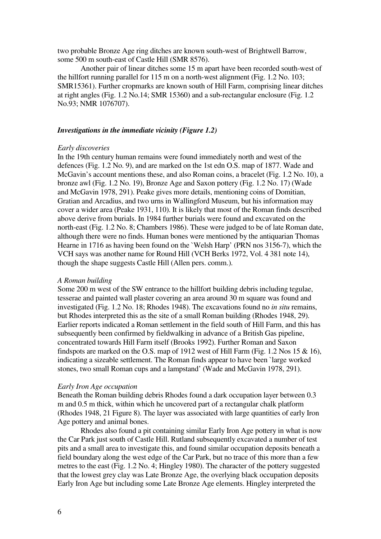two probable Bronze Age ring ditches are known south-west of Brightwell Barrow, some 500 m south-east of Castle Hill (SMR 8576).

 Another pair of linear ditches some 15 m apart have been recorded south-west of the hillfort running parallel for 115 m on a north-west alignment (Fig. 1.2 No. 103; SMR15361). Further cropmarks are known south of Hill Farm, comprising linear ditches at right angles (Fig. 1.2 No.14; SMR 15360) and a sub-rectangular enclosure (Fig. 1.2 No.93; NMR 1076707).

## *Investigations in the immediate vicinity (Figure 1.2)*

### *Early discoveries*

In the 19th century human remains were found immediately north and west of the defences (Fig. 1.2 No. 9), and are marked on the 1st edn O.S. map of 1877. Wade and McGavin's account mentions these, and also Roman coins, a bracelet (Fig. 1.2 No. 10), a bronze awl (Fig. 1.2 No. 19), Bronze Age and Saxon pottery (Fig. 1.2 No. 17) (Wade and McGavin 1978, 291). Peake gives more details, mentioning coins of Domitian, Gratian and Arcadius, and two urns in Wallingford Museum, but his information may cover a wider area (Peake 1931, 110). It is likely that most of the Roman finds described above derive from burials. In 1984 further burials were found and excavated on the north-east (Fig. 1.2 No. 8; Chambers 1986). These were judged to be of late Roman date, although there were no finds. Human bones were mentioned by the antiquarian Thomas Hearne in 1716 as having been found on the `Welsh Harp' (PRN nos 3156-7), which the VCH says was another name for Round Hill (VCH Berks 1972, Vol. 4 381 note 14), though the shape suggests Castle Hill (Allen pers. comm.).

#### *A Roman building*

Some 200 m west of the SW entrance to the hillfort building debris including tegulae, tesserae and painted wall plaster covering an area around 30 m square was found and investigated (Fig. 1.2 No. 18; Rhodes 1948). The excavations found no *in situ* remains, but Rhodes interpreted this as the site of a small Roman building (Rhodes 1948, 29). Earlier reports indicated a Roman settlement in the field south of Hill Farm, and this has subsequently been confirmed by fieldwalking in advance of a British Gas pipeline, concentrated towards Hill Farm itself (Brooks 1992). Further Roman and Saxon findspots are marked on the O.S. map of 1912 west of Hill Farm (Fig. 1.2 Nos 15 & 16), indicating a sizeable settlement. The Roman finds appear to have been `large worked stones, two small Roman cups and a lampstand' (Wade and McGavin 1978, 291).

#### *Early Iron Age occupation*

Beneath the Roman building debris Rhodes found a dark occupation layer between 0.3 m and 0.5 m thick, within which he uncovered part of a rectangular chalk platform (Rhodes 1948, 21 Figure 8). The layer was associated with large quantities of early Iron Age pottery and animal bones.

 Rhodes also found a pit containing similar Early Iron Age pottery in what is now the Car Park just south of Castle Hill. Rutland subsequently excavated a number of test pits and a small area to investigate this, and found similar occupation deposits beneath a field boundary along the west edge of the Car Park, but no trace of this more than a few metres to the east (Fig. 1.2 No. 4; Hingley 1980). The character of the pottery suggested that the lowest grey clay was Late Bronze Age, the overlying black occupation deposits Early Iron Age but including some Late Bronze Age elements. Hingley interpreted the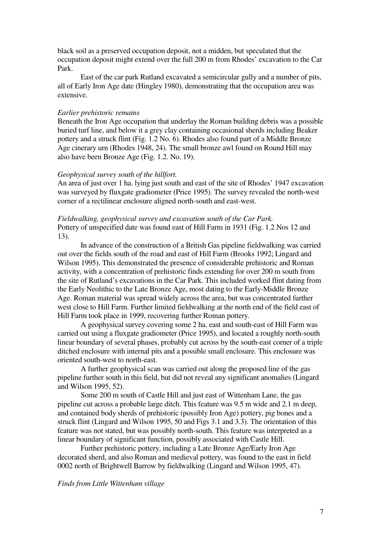black soil as a preserved occupation deposit, not a midden, but speculated that the occupation deposit might extend over the full 200 m from Rhodes' excavation to the Car Park.

 East of the car park Rutland excavated a semicircular gully and a number of pits, all of Early Iron Age date (Hingley 1980), demonstrating that the occupation area was extensive.

#### *Earlier prehistoric remains*

Beneath the Iron Age occupation that underlay the Roman building debris was a possible buried turf line, and below it a grey clay containing occasional sherds including Beaker pottery and a struck flint (Fig. 1.2 No. 6). Rhodes also found part of a Middle Bronze Age cinerary urn (Rhodes 1948, 24). The small bronze awl found on Round Hill may also have been Bronze Age (Fig. 1.2. No. 19).

#### *Geophysical survey south of the hillfort.*

An area of just over 1 ha. lying just south and east of the site of Rhodes' 1947 excavation was surveyed by fluxgate gradiometer (Price 1995). The survey revealed the north-west corner of a rectilinear enclosure aligned north-south and east-west.

*Fieldwalking, geophysical survey and excavation south of the Car Park.*  Pottery of unspecified date was found east of Hill Farm in 1931 (Fig. 1.2 Nos 12 and 13).

 In advance of the construction of a British Gas pipeline fieldwalking was carried out over the fields south of the road and east of Hill Farm (Brooks 1992; Lingard and Wilson 1995). This demonstrated the presence of considerable prehistoric and Roman activity, with a concentration of prehistoric finds extending for over 200 m south from the site of Rutland's excavations in the Car Park. This included worked flint dating from the Early Neolithic to the Late Bronze Age, most dating to the Early-Middle Bronze Age. Roman material was spread widely across the area, but was concentrated further west close to Hill Farm. Further limited fieldwalking at the north end of the field east of Hill Farm took place in 1999, recovering further Roman pottery.

 A geophysical survey covering some 2 ha. east and south-east of Hill Farm was carried out using a fluxgate gradiometer (Price 1995), and located a roughly north-south linear boundary of several phases, probably cut across by the south-east corner of a triple ditched enclosure with internal pits and a possible small enclosure. This enclosure was oriented south-west to north-east.

 A further geophysical scan was carried out along the proposed line of the gas pipeline further south in this field, but did not reveal any significant anomalies (Lingard and Wilson 1995, 52).

 Some 200 m south of Castle Hill and just east of Wittenham Lane, the gas pipeline cut across a probable large ditch. This feature was 9.5 m wide and 2.1 m deep, and contained body sherds of prehistoric (possibly Iron Age) pottery, pig bones and a struck flint (Lingard and Wilson 1995, 50 and Figs 3.1 and 3.3). The orientation of this feature was not stated, but was possibly north-south. This feature was interpreted as a linear boundary of significant function, possibly associated with Castle Hill.

 Further prehistoric pottery, including a Late Bronze Age/Early Iron Age decorated sherd, and also Roman and medieval pottery, was found to the east in field 0002 north of Brightwell Barrow by fieldwalking (Lingard and Wilson 1995, 47).

### *Finds from Little Wittenham village*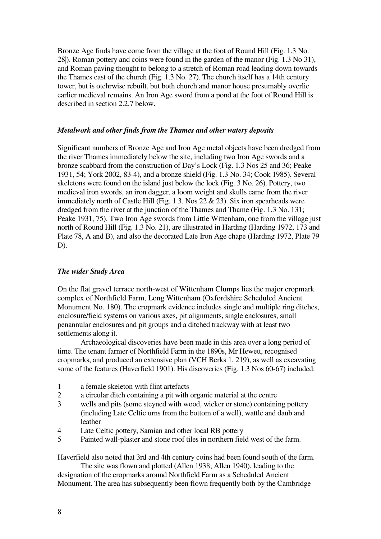Bronze Age finds have come from the village at the foot of Round Hill (Fig. 1.3 No. 28|). Roman pottery and coins were found in the garden of the manor (Fig. 1.3 No 31), and Roman paving thought to belong to a stretch of Roman road leading down towards the Thames east of the church (Fig. 1.3 No. 27). The church itself has a 14th century tower, but is otehrwise rebuilt, but both church and manor house presumably overlie earlier medieval remains. An Iron Age sword from a pond at the foot of Round Hill is described in section 2.2.7 below.

## *Metalwork and other finds from the Thames and other watery deposits*

Significant numbers of Bronze Age and Iron Age metal objects have been dredged from the river Thames immediately below the site, including two Iron Age swords and a bronze scabbard from the construction of Day's Lock (Fig. 1.3 Nos 25 and 36; Peake 1931, 54; York 2002, 83-4), and a bronze shield (Fig. 1.3 No. 34; Cook 1985). Several skeletons were found on the island just below the lock (Fig. 3 No. 26). Pottery, two medieval iron swords, an iron dagger, a loom weight and skulls came from the river immediately north of Castle Hill (Fig. 1.3. Nos  $22 \& 23$ ). Six iron spearheads were dredged from the river at the junction of the Thames and Thame (Fig. 1.3 No. 131; Peake 1931, 75). Two Iron Age swords from Little Wittenham, one from the village just north of Round Hill (Fig. 1.3 No. 21), are illustrated in Harding (Harding 1972, 173 and Plate 78, A and B), and also the decorated Late Iron Age chape (Harding 1972, Plate 79 D).

### *The wider Study Area*

On the flat gravel terrace north-west of Wittenham Clumps lies the major cropmark complex of Northfield Farm, Long Wittenham (Oxfordshire Scheduled Ancient Monument No. 180). The cropmark evidence includes single and multiple ring ditches, enclosure/field systems on various axes, pit alignments, single enclosures, small penannular enclosures and pit groups and a ditched trackway with at least two settlements along it.

 Archaeological discoveries have been made in this area over a long period of time. The tenant farmer of Northfield Farm in the 1890s, Mr Hewett, recognised cropmarks, and produced an extensive plan (VCH Berks 1, 219), as well as excavating some of the features (Haverfield 1901). His discoveries (Fig. 1.3 Nos 60-67) included:

- 1 a female skeleton with flint artefacts
- 2 a circular ditch containing a pit with organic material at the centre
- 3 wells and pits (some steyned with wood, wicker or stone) containing pottery (including Late Celtic urns from the bottom of a well), wattle and daub and leather
- 4 Late Celtic pottery, Samian and other local RB pottery
- 5 Painted wall-plaster and stone roof tiles in northern field west of the farm.

Haverfield also noted that 3rd and 4th century coins had been found south of the farm.

 The site was flown and plotted (Allen 1938; Allen 1940), leading to the designation of the cropmarks around Northfield Farm as a Scheduled Ancient Monument. The area has subsequently been flown frequently both by the Cambridge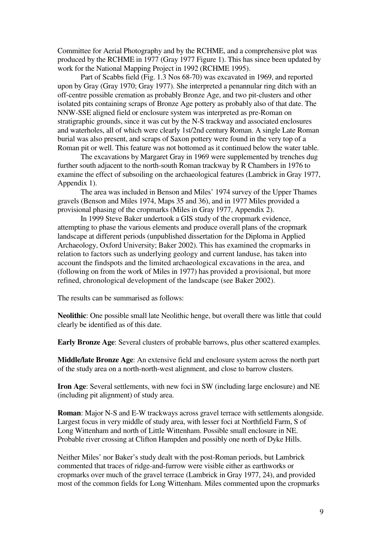Committee for Aerial Photography and by the RCHME, and a comprehensive plot was produced by the RCHME in 1977 (Gray 1977 Figure 1). This has since been updated by work for the National Mapping Project in 1992 (RCHME 1995).

 Part of Scabbs field (Fig. 1.3 Nos 68-70) was excavated in 1969, and reported upon by Gray (Gray 1970; Gray 1977). She interpreted a penannular ring ditch with an off-centre possible cremation as probably Bronze Age, and two pit-clusters and other isolated pits containing scraps of Bronze Age pottery as probably also of that date. The NNW-SSE aligned field or enclosure system was interpreted as pre-Roman on stratigraphic grounds, since it was cut by the N-S trackway and associated enclosures and waterholes, all of which were clearly 1st/2nd century Roman. A single Late Roman burial was also present, and scraps of Saxon pottery were found in the very top of a Roman pit or well. This feature was not bottomed as it continued below the water table.

 The excavations by Margaret Gray in 1969 were supplemented by trenches dug further south adjacent to the north-south Roman trackway by R Chambers in 1976 to examine the effect of subsoiling on the archaeological features (Lambrick in Gray 1977, Appendix 1).

 The area was included in Benson and Miles' 1974 survey of the Upper Thames gravels (Benson and Miles 1974, Maps 35 and 36), and in 1977 Miles provided a provisional phasing of the cropmarks (Miles in Gray 1977, Appendix 2).

In 1999 Steve Baker undertook a GIS study of the cropmark evidence, attempting to phase the various elements and produce overall plans of the cropmark landscape at different periods (unpublished dissertation for the Diploma in Applied Archaeology, Oxford University; Baker 2002). This has examined the cropmarks in relation to factors such as underlying geology and current landuse, has taken into account the findspots and the limited archaeological excavations in the area, and (following on from the work of Miles in 1977) has provided a provisional, but more refined, chronological development of the landscape (see Baker 2002).

The results can be summarised as follows:

**Neolithic**: One possible small late Neolithic henge, but overall there was little that could clearly be identified as of this date.

**Early Bronze Age**: Several clusters of probable barrows, plus other scattered examples.

**Middle/late Bronze Age**: An extensive field and enclosure system across the north part of the study area on a north-north-west alignment, and close to barrow clusters.

**Iron Age**: Several settlements, with new foci in SW (including large enclosure) and NE (including pit alignment) of study area.

**Roman**: Major N-S and E-W trackways across gravel terrace with settlements alongside. Largest focus in very middle of study area, with lesser foci at Northfield Farm, S of Long Wittenham and north of Little Wittenham. Possible small enclosure in NE. Probable river crossing at Clifton Hampden and possibly one north of Dyke Hills.

Neither Miles' nor Baker's study dealt with the post-Roman periods, but Lambrick commented that traces of ridge-and-furrow were visible either as earthworks or cropmarks over much of the gravel terrace (Lambrick in Gray 1977, 24), and provided most of the common fields for Long Wittenham. Miles commented upon the cropmarks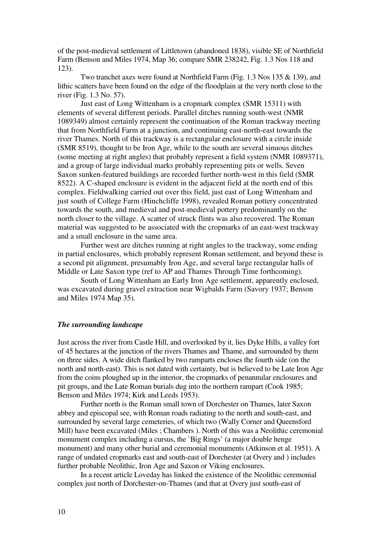of the post-medieval settlement of Littletown (abandoned 1838), visible SE of Northfield Farm (Benson and Miles 1974, Map 36; compare SMR 238242, Fig. 1.3 Nos 118 and 123).

 Two tranchet axes were found at Northfield Farm (Fig. 1.3 Nos 135 & 139), and lithic scatters have been found on the edge of the floodplain at the very north close to the river (Fig. 1.3 No. 57).

 Just east of Long Wittenham is a cropmark complex (SMR 15311) with elements of several different periods. Parallel ditches running south-west (NMR 1089349) almost certainly represent the continuation of the Roman trackway meeting that from Northfield Farm at a junction, and continuing east-north-east towards the river Thames. North of this trackway is a rectangular enclosure with a circle inside (SMR 8519), thought to be Iron Age, while to the south are several sinuous ditches (some meeting at right angles) that probably represent a field system (NMR 1089371), and a group of large individual marks probably representing pits or wells. Seven Saxon sunken-featured buildings are recorded further north-west in this field (SMR 8522). A C-shaped enclosure is evident in the adjacent field at the north end of this complex. Fieldwalking carried out over this field, just east of Long Wittenham and just south of College Farm (Hinchcliffe 1998), revealed Roman pottery concentrated towards the south, and medieval and post-medieval pottery predominantly on the north closer to the village. A scatter of struck flints was also recovered. The Roman material was suggested to be associated with the cropmarks of an east-west trackway and a small enclosure in the same area.

 Further west are ditches running at right angles to the trackway, some ending in partial enclosures, which probably represent Roman settlement, and beyond these is a second pit alignment, presumably Iron Age, and several large rectangular halls of Middle or Late Saxon type (ref to AP and Thames Through Time forthcoming).

 South of Long Wittenham an Early Iron Age settlement, apparently enclosed, was excavated during gravel extraction near Wigbalds Farm (Savory 1937; Benson and Miles 1974 Map 35).

### *The surrounding landscape*

Just across the river from Castle Hill, and overlooked by it, lies Dyke Hills, a valley fort of 45 hectares at the junction of the rivers Thames and Thame, and surrounded by them on three sides. A wide ditch flanked by two ramparts encloses the fourth side (on the north and north-east). This is not dated with certainty, but is believed to be Late Iron Age from the coins ploughed up in the interior, the cropmarks of penannular enclosures and pit groups, and the Late Roman burials dug into the northern rampart (Cook 1985; Benson and Miles 1974; Kirk and Leeds 1953).

 Further north is the Roman small town of Dorchester on Thames, later Saxon abbey and episcopal see, with Roman roads radiating to the north and south-east, and surrounded by several large cemeteries, of which two (Wally Corner and Queensford Mill) have been excavated (Miles ; Chambers ). North of this was a Neolithic ceremonial monument complex including a cursus, the `Big Rings' (a major double henge monument) and many other burial and ceremonial monuments (Atkinson et al. 1951). A range of undated cropmarks east and south-east of Dorchester (at Overy and ) includes further probable Neolithic, Iron Age and Saxon or Viking enclosures.

 In a recent article Loveday has linked the existence of the Neolithic ceremonial complex just north of Dorchester-on-Thames (and that at Overy just south-east of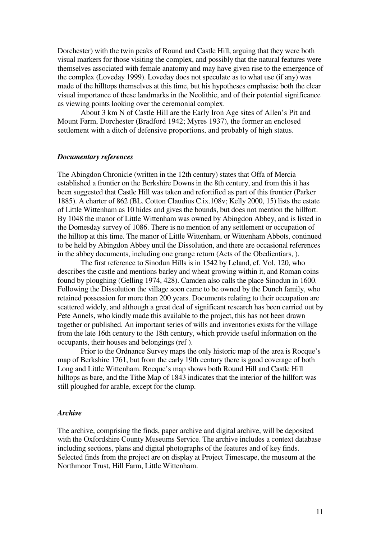Dorchester) with the twin peaks of Round and Castle Hill, arguing that they were both visual markers for those visiting the complex, and possibly that the natural features were themselves associated with female anatomy and may have given rise to the emergence of the complex (Loveday 1999). Loveday does not speculate as to what use (if any) was made of the hilltops themselves at this time, but his hypotheses emphasise both the clear visual importance of these landmarks in the Neolithic, and of their potential significance as viewing points looking over the ceremonial complex.

 About 3 km N of Castle Hill are the Early Iron Age sites of Allen's Pit and Mount Farm, Dorchester (Bradford 1942; Myres 1937), the former an enclosed settlement with a ditch of defensive proportions, and probably of high status.

# *Documentary references*

The Abingdon Chronicle (written in the 12th century) states that Offa of Mercia established a frontier on the Berkshire Downs in the 8th century, and from this it has been suggested that Castle Hill was taken and refortified as part of this frontier (Parker 1885). A charter of 862 (BL. Cotton Claudius C.ix.108v; Kelly 2000, 15) lists the estate of Little Wittenham as 10 hides and gives the bounds, but does not mention the hillfort. By 1048 the manor of Little Wittenham was owned by Abingdon Abbey, and is listed in the Domesday survey of 1086. There is no mention of any settlement or occupation of the hilltop at this time. The manor of Little Wittenham, or Wittenham Abbots, continued to be held by Abingdon Abbey until the Dissolution, and there are occasional references in the abbey documents, including one grange return (Acts of the Obedientiars, ).

 The first reference to Sinodun Hills is in 1542 by Leland, cf. Vol. 120, who describes the castle and mentions barley and wheat growing within it, and Roman coins found by ploughing (Gelling 1974, 428). Camden also calls the place Sinodun in 1600. Following the Dissolution the village soon came to be owned by the Dunch family, who retained possession for more than 200 years. Documents relating to their occupation are scattered widely, and although a great deal of significant research has been carried out by Pete Annels, who kindly made this available to the project, this has not been drawn together or published. An important series of wills and inventories exists for the village from the late 16th century to the 18th century, which provide useful information on the occupants, their houses and belongings (ref ).

 Prior to the Ordnance Survey maps the only historic map of the area is Rocque's map of Berkshire 1761, but from the early 19th century there is good coverage of both Long and Little Wittenham. Rocque's map shows both Round Hill and Castle Hill hilltops as bare, and the Tithe Map of 1843 indicates that the interior of the hillfort was still ploughed for arable, except for the clump.

#### *Archive*

The archive, comprising the finds, paper archive and digital archive, will be deposited with the Oxfordshire County Museums Service. The archive includes a context database including sections, plans and digital photographs of the features and of key finds. Selected finds from the project are on display at Project Timescape, the museum at the Northmoor Trust, Hill Farm, Little Wittenham.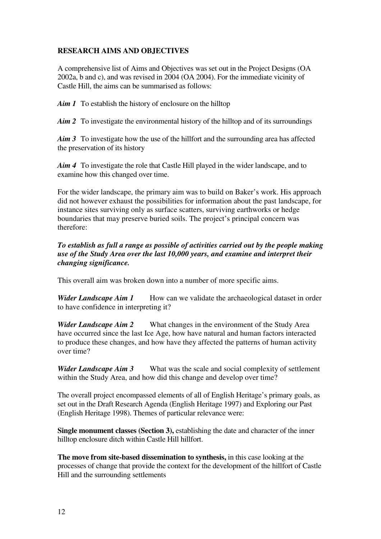# **RESEARCH AIMS AND OBJECTIVES**

A comprehensive list of Aims and Objectives was set out in the Project Designs (OA 2002a, b and c), and was revised in 2004 (OA 2004). For the immediate vicinity of Castle Hill, the aims can be summarised as follows:

*Aim 1* To establish the history of enclosure on the hilltop

*Aim 2* To investigate the environmental history of the hilltop and of its surroundings

*Aim 3* To investigate how the use of the hillfort and the surrounding area has affected the preservation of its history

*Aim 4* To investigate the role that Castle Hill played in the wider landscape, and to examine how this changed over time.

For the wider landscape, the primary aim was to build on Baker's work. His approach did not however exhaust the possibilities for information about the past landscape, for instance sites surviving only as surface scatters, surviving earthworks or hedge boundaries that may preserve buried soils. The project's principal concern was therefore:

# *To establish as full a range as possible of activities carried out by the people making use of the Study Area over the last 10,000 years, and examine and interpret their changing significance.*

This overall aim was broken down into a number of more specific aims.

*Wider Landscape Aim 1* How can we validate the archaeological dataset in order to have confidence in interpreting it?

*Wider Landscape Aim 2* What changes in the environment of the Study Area have occurred since the last Ice Age, how have natural and human factors interacted to produce these changes, and how have they affected the patterns of human activity over time?

*Wider Landscape Aim 3* What was the scale and social complexity of settlement within the Study Area, and how did this change and develop over time?

The overall project encompassed elements of all of English Heritage's primary goals, as set out in the Draft Research Agenda (English Heritage 1997) and Exploring our Past (English Heritage 1998). Themes of particular relevance were:

**Single monument classes (Section 3), establishing the date and character of the inner** hilltop enclosure ditch within Castle Hill hillfort.

**The move from site-based dissemination to synthesis,** in this case looking at the processes of change that provide the context for the development of the hillfort of Castle Hill and the surrounding settlements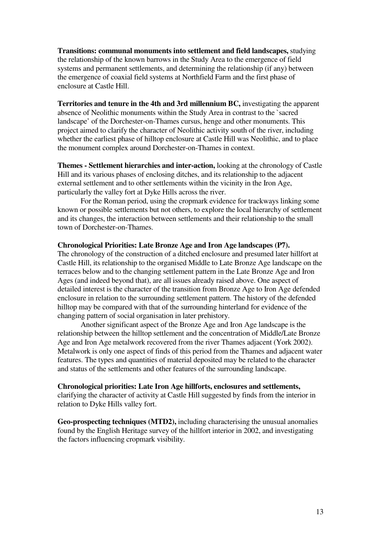**Transitions: communal monuments into settlement and field landscapes,** studying the relationship of the known barrows in the Study Area to the emergence of field systems and permanent settlements, and determining the relationship (if any) between the emergence of coaxial field systems at Northfield Farm and the first phase of enclosure at Castle Hill.

**Territories and tenure in the 4th and 3rd millennium BC,** investigating the apparent absence of Neolithic monuments within the Study Area in contrast to the `sacred landscape' of the Dorchester-on-Thames cursus, henge and other monuments. This project aimed to clarify the character of Neolithic activity south of the river, including whether the earliest phase of hilltop enclosure at Castle Hill was Neolithic, and to place the monument complex around Dorchester-on-Thames in context.

**Themes - Settlement hierarchies and inter-action,** looking at the chronology of Castle Hill and its various phases of enclosing ditches, and its relationship to the adjacent external settlement and to other settlements within the vicinity in the Iron Age, particularly the valley fort at Dyke Hills across the river.

 For the Roman period, using the cropmark evidence for trackways linking some known or possible settlements but not others, to explore the local hierarchy of settlement and its changes, the interaction between settlements and their relationship to the small town of Dorchester-on-Thames.

## **Chronological Priorities: Late Bronze Age and Iron Age landscapes (P7).**

The chronology of the construction of a ditched enclosure and presumed later hillfort at Castle Hill, its relationship to the organised Middle to Late Bronze Age landscape on the terraces below and to the changing settlement pattern in the Late Bronze Age and Iron Ages (and indeed beyond that), are all issues already raised above. One aspect of detailed interest is the character of the transition from Bronze Age to Iron Age defended enclosure in relation to the surrounding settlement pattern. The history of the defended hilltop may be compared with that of the surrounding hinterland for evidence of the changing pattern of social organisation in later prehistory.

 Another significant aspect of the Bronze Age and Iron Age landscape is the relationship between the hilltop settlement and the concentration of Middle/Late Bronze Age and Iron Age metalwork recovered from the river Thames adjacent (York 2002). Metalwork is only one aspect of finds of this period from the Thames and adjacent water features. The types and quantities of material deposited may be related to the character and status of the settlements and other features of the surrounding landscape.

### **Chronological priorities: Late Iron Age hillforts, enclosures and settlements,**

clarifying the character of activity at Castle Hill suggested by finds from the interior in relation to Dyke Hills valley fort.

**Geo-prospecting techniques (MTD2),** including characterising the unusual anomalies found by the English Heritage survey of the hillfort interior in 2002, and investigating the factors influencing cropmark visibility.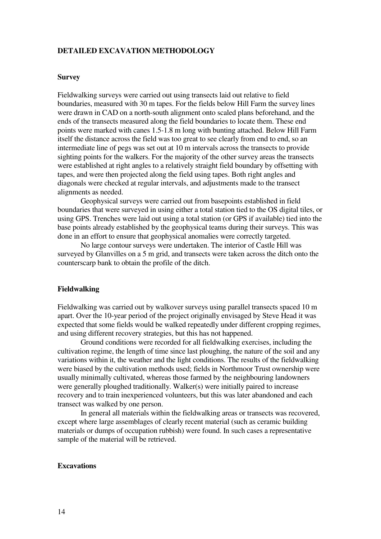## **DETAILED EXCAVATION METHODOLOGY**

### **Survey**

Fieldwalking surveys were carried out using transects laid out relative to field boundaries, measured with 30 m tapes. For the fields below Hill Farm the survey lines were drawn in CAD on a north-south alignment onto scaled plans beforehand, and the ends of the transects measured along the field boundaries to locate them. These end points were marked with canes 1.5-1.8 m long with bunting attached. Below Hill Farm itself the distance across the field was too great to see clearly from end to end, so an intermediate line of pegs was set out at 10 m intervals across the transects to provide sighting points for the walkers. For the majority of the other survey areas the transects were established at right angles to a relatively straight field boundary by offsetting with tapes, and were then projected along the field using tapes. Both right angles and diagonals were checked at regular intervals, and adjustments made to the transect alignments as needed.

 Geophysical surveys were carried out from basepoints established in field boundaries that were surveyed in using either a total station tied to the OS digital tiles, or using GPS. Trenches were laid out using a total station (or GPS if available) tied into the base points already established by the geophysical teams during their surveys. This was done in an effort to ensure that geophysical anomalies were correctly targeted.

 No large contour surveys were undertaken. The interior of Castle Hill was surveyed by Glanvilles on a 5 m grid, and transects were taken across the ditch onto the counterscarp bank to obtain the profile of the ditch.

#### **Fieldwalking**

Fieldwalking was carried out by walkover surveys using parallel transects spaced 10 m apart. Over the 10-year period of the project originally envisaged by Steve Head it was expected that some fields would be walked repeatedly under different cropping regimes, and using different recovery strategies, but this has not happened.

 Ground conditions were recorded for all fieldwalking exercises, including the cultivation regime, the length of time since last ploughing, the nature of the soil and any variations within it, the weather and the light conditions. The results of the fieldwalking were biased by the cultivation methods used; fields in Northmoor Trust ownership were usually minimally cultivated, whereas those farmed by the neighbouring landowners were generally ploughed traditionally. Walker(s) were initially paired to increase recovery and to train inexperienced volunteers, but this was later abandoned and each transect was walked by one person.

 In general all materials within the fieldwalking areas or transects was recovered, except where large assemblages of clearly recent material (such as ceramic building materials or dumps of occupation rubbish) were found. In such cases a representative sample of the material will be retrieved.

## **Excavations**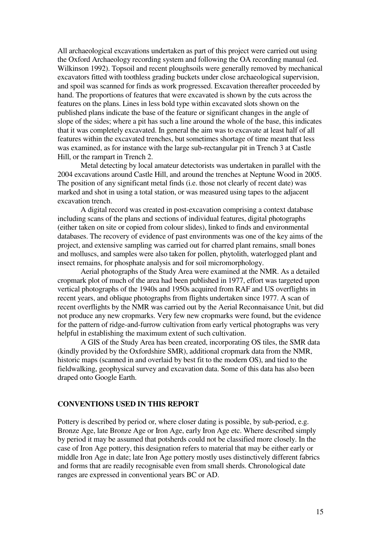All archaeological excavations undertaken as part of this project were carried out using the Oxford Archaeology recording system and following the OA recording manual (ed. Wilkinson 1992). Topsoil and recent ploughsoils were generally removed by mechanical excavators fitted with toothless grading buckets under close archaeological supervision, and spoil was scanned for finds as work progressed. Excavation thereafter proceeded by hand. The proportions of features that were excavated is shown by the cuts across the features on the plans. Lines in less bold type within excavated slots shown on the published plans indicate the base of the feature or significant changes in the angle of slope of the sides; where a pit has such a line around the whole of the base, this indicates that it was completely excavated. In general the aim was to excavate at least half of all features within the excavated trenches, but sometimes shortage of time meant that less was examined, as for instance with the large sub-rectangular pit in Trench 3 at Castle Hill, or the rampart in Trench 2.

 Metal detecting by local amateur detectorists was undertaken in parallel with the 2004 excavations around Castle Hill, and around the trenches at Neptune Wood in 2005. The position of any significant metal finds (i.e. those not clearly of recent date) was marked and shot in using a total station, or was measured using tapes to the adjacent excavation trench.

 A digital record was created in post-excavation comprising a context database including scans of the plans and sections of individual features, digital photographs (either taken on site or copied from colour slides), linked to finds and environmental databases. The recovery of evidence of past environments was one of the key aims of the project, and extensive sampling was carried out for charred plant remains, small bones and molluscs, and samples were also taken for pollen, phytolith, waterlogged plant and insect remains, for phosphate analysis and for soil micromorphology.

Aerial photographs of the Study Area were examined at the NMR. As a detailed cropmark plot of much of the area had been published in 1977, effort was targeted upon vertical photographs of the 1940s and 1950s acquired from RAF and US overflights in recent years, and oblique photographs from flights undertaken since 1977. A scan of recent overflights by the NMR was carried out by the Aerial Reconnaisance Unit, but did not produce any new cropmarks. Very few new cropmarks were found, but the evidence for the pattern of ridge-and-furrow cultivation from early vertical photographs was very helpful in establishing the maximum extent of such cultivation.

A GIS of the Study Area has been created, incorporating OS tiles, the SMR data (kindly provided by the Oxfordshire SMR), additional cropmark data from the NMR, historic maps (scanned in and overlaid by best fit to the modern OS), and tied to the fieldwalking, geophysical survey and excavation data. Some of this data has also been draped onto Google Earth.

### **CONVENTIONS USED IN THIS REPORT**

Pottery is described by period or, where closer dating is possible, by sub-period, e.g. Bronze Age, late Bronze Age or Iron Age, early Iron Age etc. Where described simply by period it may be assumed that potsherds could not be classified more closely. In the case of Iron Age pottery, this designation refers to material that may be either early or middle Iron Age in date; late Iron Age pottery mostly uses distinctively different fabrics and forms that are readily recognisable even from small sherds. Chronological date ranges are expressed in conventional years BC or AD.